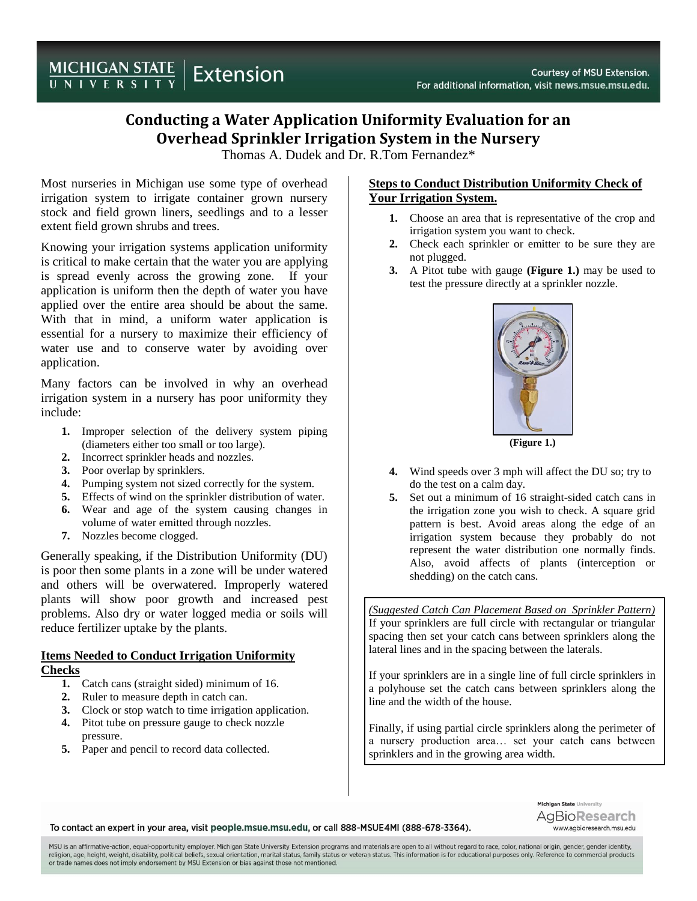# **Conducting a Water Application Uniformity Evaluation for an Overhead Sprinkler Irrigation System in the Nursery**

Thomas A. Dudek and Dr. R.Tom Fernandez\*

Most nurseries in Michigan use some type of overhead irrigation system to irrigate container grown nursery stock and field grown liners, seedlings and to a lesser extent field grown shrubs and trees.

Knowing your irrigation systems application uniformity is critical to make certain that the water you are applying is spread evenly across the growing zone. If your application is uniform then the depth of water you have applied over the entire area should be about the same. With that in mind, a uniform water application is essential for a nursery to maximize their efficiency of water use and to conserve water by avoiding over application.

Many factors can be involved in why an overhead irrigation system in a nursery has poor uniformity they include:

- **1.** Improper selection of the delivery system piping (diameters either too small or too large).
- **2.** Incorrect sprinkler heads and nozzles.
- **3.** Poor overlap by sprinklers.
- **4.** Pumping system not sized correctly for the system.
- **5.** Effects of wind on the sprinkler distribution of water.
- **6.** Wear and age of the system causing changes in volume of water emitted through nozzles.
- **7.** Nozzles become clogged.

Generally speaking, if the Distribution Uniformity (DU) is poor then some plants in a zone will be under watered and others will be overwatered. Improperly watered plants will show poor growth and increased pest problems. Also dry or water logged media or soils will reduce fertilizer uptake by the plants.

### **Items Needed to Conduct Irrigation Uniformity Checks**

- **1.** Catch cans (straight sided) minimum of 16.
- **2.** Ruler to measure depth in catch can.
- **3.** Clock or stop watch to time irrigation application.
- **4.** Pitot tube on pressure gauge to check nozzle pressure.
- **5.** Paper and pencil to record data collected.

## **Steps to Conduct Distribution Uniformity Check of Your Irrigation System.**

- **1.** Choose an area that is representative of the crop and irrigation system you want to check.
- **2.** Check each sprinkler or emitter to be sure they are not plugged.
- **3.** A Pitot tube with gauge **(Figure 1.)** may be used to test the pressure directly at a sprinkler nozzle.



- **4.** Wind speeds over 3 mph will affect the DU so; try to do the test on a calm day.
- **5.** Set out a minimum of 16 straight-sided catch cans in the irrigation zone you wish to check. A square grid pattern is best. Avoid areas along the edge of an irrigation system because they probably do not represent the water distribution one normally finds. Also, avoid affects of plants (interception or shedding) on the catch cans.

*(Suggested Catch Can Placement Based on Sprinkler Pattern)* If your sprinklers are full circle with rectangular or triangular spacing then set your catch cans between sprinklers along the lateral lines and in the spacing between the laterals.

If your sprinklers are in a single line of full circle sprinklers in a polyhouse set the catch cans between sprinklers along the line and the width of the house.

Finally, if using partial circle sprinklers along the perimeter of a nursery production area… set your catch cans between sprinklers and in the growing area width.

To contact an expert in your area, visit people.msue.msu.edu, or call 888-MSUE4MI (888-678-3364).

Michigan State University AgBioResearch www.agbioresearch.msu.edu

MSU is an affirmative-action, equal-opportunity employer. Michigan State University Extension programs and materials are open to all without regard to race, color, national origin, gender, gender identity, religion, age, height, weight, disability, political beliefs, sexual orientation, marital status, family status or veteran status. This information is for educational purposes only. Reference to commercial products or trade names does not imply endorsement by MSU Extension or bias against those not mentioned.